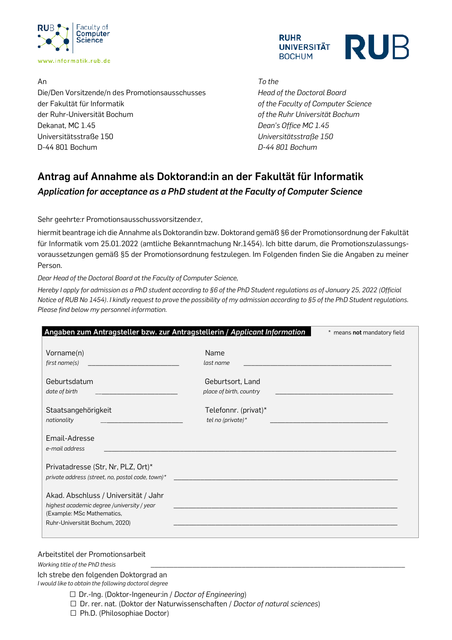



An *To the* Die/Den Vorsitzende/n des Promotionsausschusses *Head of the Doctoral Board* der Fakultät für Informatik *of the Faculty of Computer Science* der Ruhr-Universität Bochum *of the Ruhr Universität Bochum* Dekanat, MC 1.45 *Dean's Office MC 1.45* Universitätsstraße 150 *Universitätsstraße 150* D-44 801 Bochum *D-44 801 Bochum*

## **Antrag auf Annahme als Doktorand:in an der Fakultät für Informatik** *Application for acceptance as a PhD student at the Faculty of Computer Science*

Sehr geehrte:r Promotionsausschussvorsitzende:r,

hiermit beantrage ich die Annahme als Doktorandin bzw. Doktorand gemäß §6 der Promotionsordnung der Fakultät für Informatik vom 25.01.2022 (amtliche Bekanntmachung Nr.1454). Ich bitte darum, die Promotionszulassungsvoraussetzungen gemäß §5 der Promotionsordnung festzulegen. Im Folgenden finden Sie die Angaben zu meiner Person.

*Dear Head of the Doctoral Board at the Faculty of Computer Science,*

*Hereby I apply for admission as a PhD student according to §6 of the PhD Student regulations as of January 25, 2022 (Official Notice of RUB No 1454). I kindly request to prove the possibility of my admission according to §5 of the PhD Student regulations. Please find below my personnel information.*

| Angaben zum Antragsteller bzw. zur Antragstellerin / Applicant Information<br>* means not mandatory field                                          |                                                                                                                |  |
|----------------------------------------------------------------------------------------------------------------------------------------------------|----------------------------------------------------------------------------------------------------------------|--|
| Vorname(n)<br>first name(s)                                                                                                                        | Name<br>last name                                                                                              |  |
| Geburtsdatum<br>date of birth                                                                                                                      | Geburtsort, Land<br>place of birth, country                                                                    |  |
| Staatsangehörigkeit<br>nationality                                                                                                                 | Telefonnr. (privat)*<br>tel no (private) $*$                                                                   |  |
| Email-Adresse<br>e-mail address                                                                                                                    |                                                                                                                |  |
| Privatadresse (Str, Nr, PLZ, Ort)*                                                                                                                 | private address (street, no, postal code, town)* The control of the control of the control of the control of t |  |
| Akad. Abschluss / Universität / Jahr<br>highest academic degree /university / year<br>(Example: MSc Mathematics,<br>Ruhr-Universität Bochum, 2020) |                                                                                                                |  |
|                                                                                                                                                    |                                                                                                                |  |

## Arbeitstitel der Promotionsarbeit

*Working title of the PhD thesis* 

Ich strebe den folgenden Doktorgrad an *I would like to obtain the following doctoral degree* 

- □ Dr.-Ing. (Doktor-Ingeneur:in / *Doctor of Engineering*)
- □ Dr. rer. nat. (Doktor der Naturwissenschaften / *Doctor of natural sciences*)
- □ Ph.D. (Philosophiae Doctor)